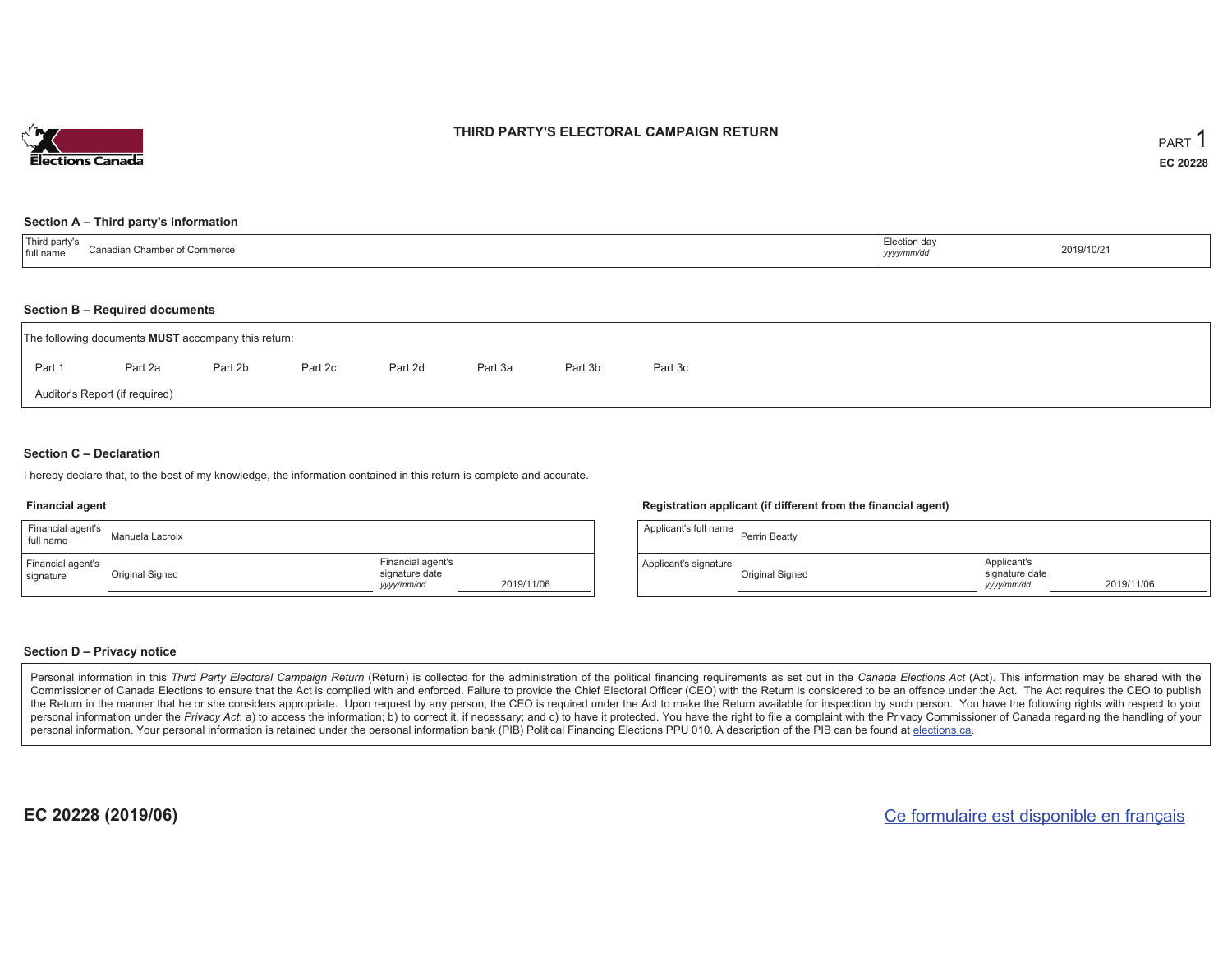

### **THIRD PARTY'S ELECTORAL CAMPAIGN RETURN**

#### **Section A – Third party's information**

| <sup>'</sup> Third party's<br>Canadian Chamber of Commerce<br>full name | Election day<br>yyyy/mm/dd | 2019/10/21 |
|-------------------------------------------------------------------------|----------------------------|------------|
|-------------------------------------------------------------------------|----------------------------|------------|

#### **Section B – Required documents**

|        | The following documents <b>MUST</b> accompany this return: |         |         |         |         |         |         |  |  |  |  |  |
|--------|------------------------------------------------------------|---------|---------|---------|---------|---------|---------|--|--|--|--|--|
| Part 1 | Part 2a                                                    | Part 2b | Part 2c | Part 2d | Part 3a | Part 3b | Part 3c |  |  |  |  |  |
|        | Auditor's Report (if required)                             |         |         |         |         |         |         |  |  |  |  |  |

### **Section C – Declaration**

I hereby declare that, to the best of my knowledge, the information contained in this return is complete and accurate.

#### **Financial agent**

| Financial agent's<br>full name | Manuela Lacroix |                                                   |            |
|--------------------------------|-----------------|---------------------------------------------------|------------|
| Financial agent's<br>signature | Original Signed | Financial agent's<br>signature date<br>yyyy/mm/dd | 2019/11/06 |

#### **Registration applicant (if different from the financial agent)**

| Applicant's full name | Perrin Beatty   |                                             |            |
|-----------------------|-----------------|---------------------------------------------|------------|
| Applicant's signature | Original Signed | Applicant's<br>signature date<br>yyyy/mm/dd | 2019/11/06 |

### **Section D – Privacy notice**

Personal information in this Third Party Electoral Campaign Return (Return) is collected for the administration of the political financing requirements as set out in the Canada Elections Act (Act). This information may be Commissioner of Canada Elections to ensure that the Act is complied with and enforced. Failure to provide the Chief Electoral Officer (CEO) with the Return is considered to be an offence under the Act. The Act requires the the Return in the manner that he or she considers appropriate. Upon request by any person, the CEO is required under the Act to make the Return available for inspection by such person. You have the following rights with re personal information under the Privacy Act: a) to access the information; b) to correct it, if necessary; and c) to have it protected. You have the right to file a complaint with the Privacy Commissioner of Canada regardin personal information. Your personal information is retained under the personal information bank (PIB) Political Financing Elections PPU 010. A description of the PIB can be found at elections.ca.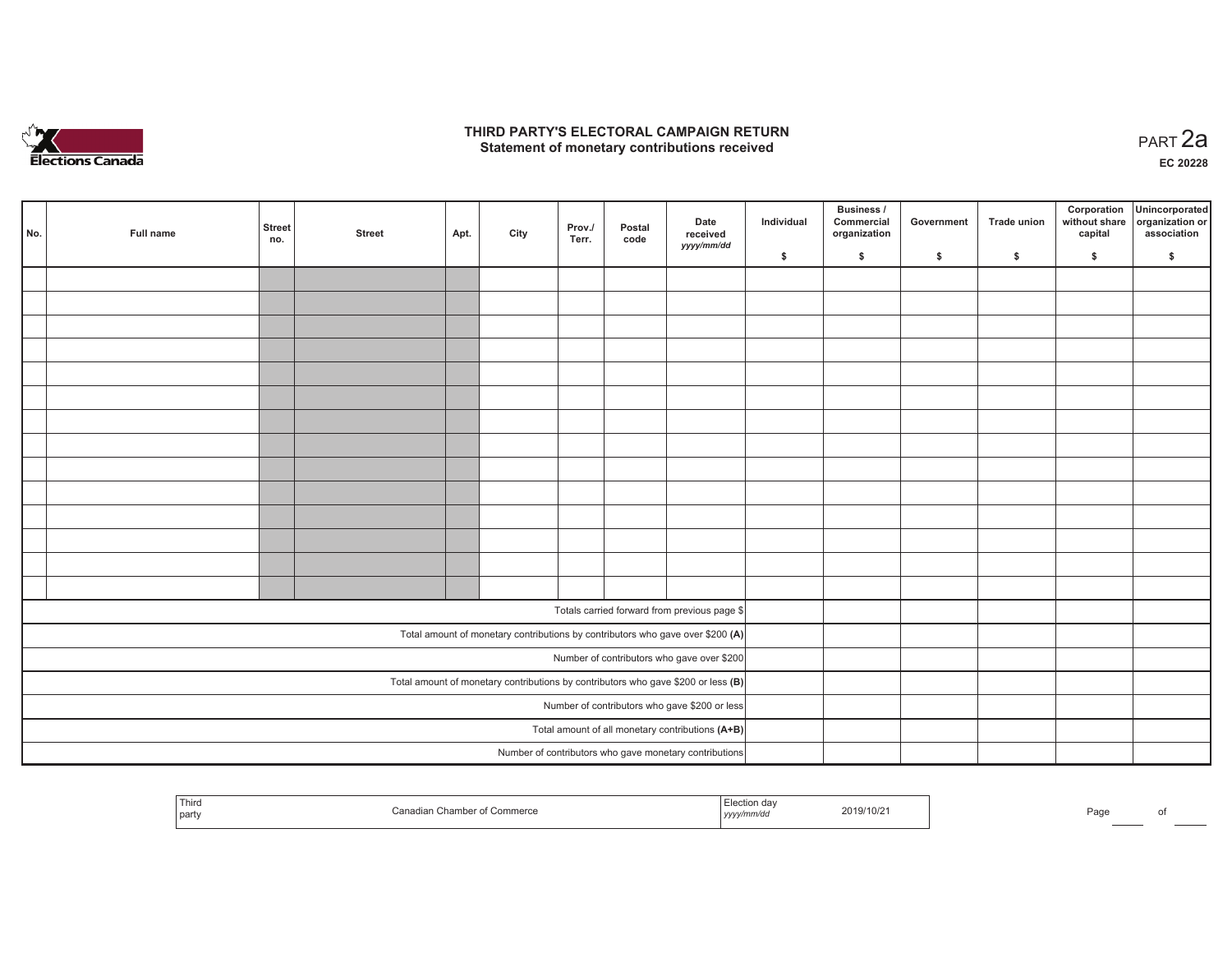

### **THIRD PARTY'S ELECTORAL CAMPAIGN RETURN HIRD PARTY'S ELECTORAL CAMPAIGN RETURN<br>Statement of monetary contributions received PART 2a**

**EC 20228**

| No. | Full name                                                                           | <b>Street</b><br>no.                          | <b>Street</b> | Apt. | City | Prov./<br>Terr. | Postal<br>code | Date<br>received<br>yyyy/mm/dd                                                 | Individual | Business /<br>Commercial<br>organization | Government | Trade union | Corporation<br>without share<br>capital | Unincorporated<br>organization or<br>association |
|-----|-------------------------------------------------------------------------------------|-----------------------------------------------|---------------|------|------|-----------------|----------------|--------------------------------------------------------------------------------|------------|------------------------------------------|------------|-------------|-----------------------------------------|--------------------------------------------------|
|     |                                                                                     |                                               |               |      |      |                 |                |                                                                                | \$         | \$                                       | \$         | \$          | \$                                      | \$                                               |
|     |                                                                                     |                                               |               |      |      |                 |                |                                                                                |            |                                          |            |             |                                         |                                                  |
|     |                                                                                     |                                               |               |      |      |                 |                |                                                                                |            |                                          |            |             |                                         |                                                  |
|     |                                                                                     |                                               |               |      |      |                 |                |                                                                                |            |                                          |            |             |                                         |                                                  |
|     |                                                                                     |                                               |               |      |      |                 |                |                                                                                |            |                                          |            |             |                                         |                                                  |
|     |                                                                                     |                                               |               |      |      |                 |                |                                                                                |            |                                          |            |             |                                         |                                                  |
|     |                                                                                     |                                               |               |      |      |                 |                |                                                                                |            |                                          |            |             |                                         |                                                  |
|     |                                                                                     |                                               |               |      |      |                 |                |                                                                                |            |                                          |            |             |                                         |                                                  |
|     |                                                                                     |                                               |               |      |      |                 |                |                                                                                |            |                                          |            |             |                                         |                                                  |
|     |                                                                                     |                                               |               |      |      |                 |                |                                                                                |            |                                          |            |             |                                         |                                                  |
|     |                                                                                     |                                               |               |      |      |                 |                |                                                                                |            |                                          |            |             |                                         |                                                  |
|     |                                                                                     |                                               |               |      |      |                 |                |                                                                                |            |                                          |            |             |                                         |                                                  |
|     |                                                                                     |                                               |               |      |      |                 |                |                                                                                |            |                                          |            |             |                                         |                                                  |
|     |                                                                                     |                                               |               |      |      |                 |                |                                                                                |            |                                          |            |             |                                         |                                                  |
|     |                                                                                     |                                               |               |      |      |                 |                |                                                                                |            |                                          |            |             |                                         |                                                  |
|     |                                                                                     |                                               |               |      |      |                 |                | Totals carried forward from previous page \$                                   |            |                                          |            |             |                                         |                                                  |
|     |                                                                                     |                                               |               |      |      |                 |                | Total amount of monetary contributions by contributors who gave over \$200 (A) |            |                                          |            |             |                                         |                                                  |
|     | Number of contributors who gave over \$200                                          |                                               |               |      |      |                 |                |                                                                                |            |                                          |            |             |                                         |                                                  |
|     | Total amount of monetary contributions by contributors who gave \$200 or less $(B)$ |                                               |               |      |      |                 |                |                                                                                |            |                                          |            |             |                                         |                                                  |
|     |                                                                                     | Number of contributors who gave \$200 or less |               |      |      |                 |                |                                                                                |            |                                          |            |             |                                         |                                                  |
|     |                                                                                     |                                               |               |      |      |                 |                | Total amount of all monetary contributions (A+B)                               |            |                                          |            |             |                                         |                                                  |
|     |                                                                                     |                                               |               |      |      |                 |                | Number of contributors who gave monetary contributions                         |            |                                          |            |             |                                         |                                                  |

|  | <sup>I</sup> Third<br>  party | of Commerce<br>Canadian Chamber | ction dav<br>yyyy/mm/dd | 2019/10/21 |  | Page |  |
|--|-------------------------------|---------------------------------|-------------------------|------------|--|------|--|
|--|-------------------------------|---------------------------------|-------------------------|------------|--|------|--|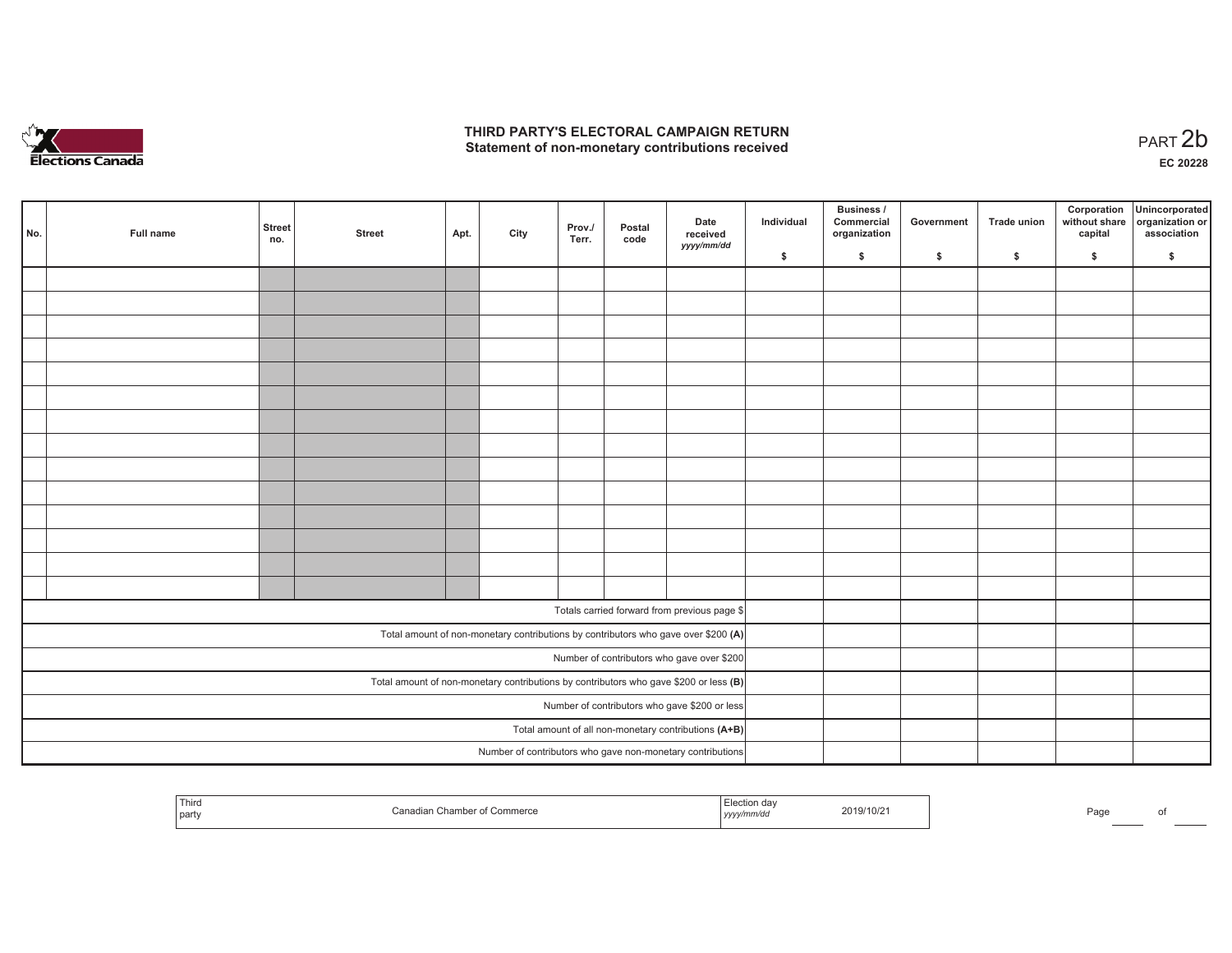

## **THIRD PARTY'S ELECTORAL CAMPAIGN RETURN**  THIRD PARTY'S ELECTORAL CAMPAIGN RETURN<br>Statement of non-monetary contributions received<br> **PART 2b**

| No.                                                                                     | Full name | <b>Street</b><br>no.                          | <b>Street</b> | Apt. | City | Prov./<br>Terr. | Postal<br>code | Date<br>received<br>yyyy/mm/dd                                                     | Individual | <b>Business /</b><br>Commercial<br>organization | Government   | Trade union  | Corporation<br>capital | Unincorporated<br>without share organization or<br>association |
|-----------------------------------------------------------------------------------------|-----------|-----------------------------------------------|---------------|------|------|-----------------|----------------|------------------------------------------------------------------------------------|------------|-------------------------------------------------|--------------|--------------|------------------------|----------------------------------------------------------------|
|                                                                                         |           |                                               |               |      |      |                 |                |                                                                                    | \$         | \$                                              | $\mathsf{s}$ | $\mathbf{s}$ | \$                     | \$                                                             |
|                                                                                         |           |                                               |               |      |      |                 |                |                                                                                    |            |                                                 |              |              |                        |                                                                |
|                                                                                         |           |                                               |               |      |      |                 |                |                                                                                    |            |                                                 |              |              |                        |                                                                |
|                                                                                         |           |                                               |               |      |      |                 |                |                                                                                    |            |                                                 |              |              |                        |                                                                |
|                                                                                         |           |                                               |               |      |      |                 |                |                                                                                    |            |                                                 |              |              |                        |                                                                |
|                                                                                         |           |                                               |               |      |      |                 |                |                                                                                    |            |                                                 |              |              |                        |                                                                |
|                                                                                         |           |                                               |               |      |      |                 |                |                                                                                    |            |                                                 |              |              |                        |                                                                |
|                                                                                         |           |                                               |               |      |      |                 |                |                                                                                    |            |                                                 |              |              |                        |                                                                |
|                                                                                         |           |                                               |               |      |      |                 |                |                                                                                    |            |                                                 |              |              |                        |                                                                |
|                                                                                         |           |                                               |               |      |      |                 |                |                                                                                    |            |                                                 |              |              |                        |                                                                |
|                                                                                         |           |                                               |               |      |      |                 |                |                                                                                    |            |                                                 |              |              |                        |                                                                |
|                                                                                         |           |                                               |               |      |      |                 |                |                                                                                    |            |                                                 |              |              |                        |                                                                |
|                                                                                         |           |                                               |               |      |      |                 |                |                                                                                    |            |                                                 |              |              |                        |                                                                |
|                                                                                         |           |                                               |               |      |      |                 |                |                                                                                    |            |                                                 |              |              |                        |                                                                |
|                                                                                         |           |                                               |               |      |      |                 |                |                                                                                    |            |                                                 |              |              |                        |                                                                |
|                                                                                         |           |                                               |               |      |      |                 |                | Totals carried forward from previous page \$                                       |            |                                                 |              |              |                        |                                                                |
|                                                                                         |           |                                               |               |      |      |                 |                |                                                                                    |            |                                                 |              |              |                        |                                                                |
|                                                                                         |           |                                               |               |      |      |                 |                | Total amount of non-monetary contributions by contributors who gave over \$200 (A) |            |                                                 |              |              |                        |                                                                |
|                                                                                         |           |                                               |               |      |      |                 |                | Number of contributors who gave over \$200                                         |            |                                                 |              |              |                        |                                                                |
| Total amount of non-monetary contributions by contributors who gave \$200 or less $(B)$ |           |                                               |               |      |      |                 |                |                                                                                    |            |                                                 |              |              |                        |                                                                |
|                                                                                         |           | Number of contributors who gave \$200 or less |               |      |      |                 |                |                                                                                    |            |                                                 |              |              |                        |                                                                |
|                                                                                         |           |                                               |               |      |      |                 |                | Total amount of all non-monetary contributions (A+B)                               |            |                                                 |              |              |                        |                                                                |
|                                                                                         |           |                                               |               |      |      |                 |                | Number of contributors who gave non-monetary contributions                         |            |                                                 |              |              |                        |                                                                |

|  | Third<br>Canadian Chamber of Commerce<br>party | 2019/10/21<br>, yyyy/mm/aa | Page |  |
|--|------------------------------------------------|----------------------------|------|--|
|--|------------------------------------------------|----------------------------|------|--|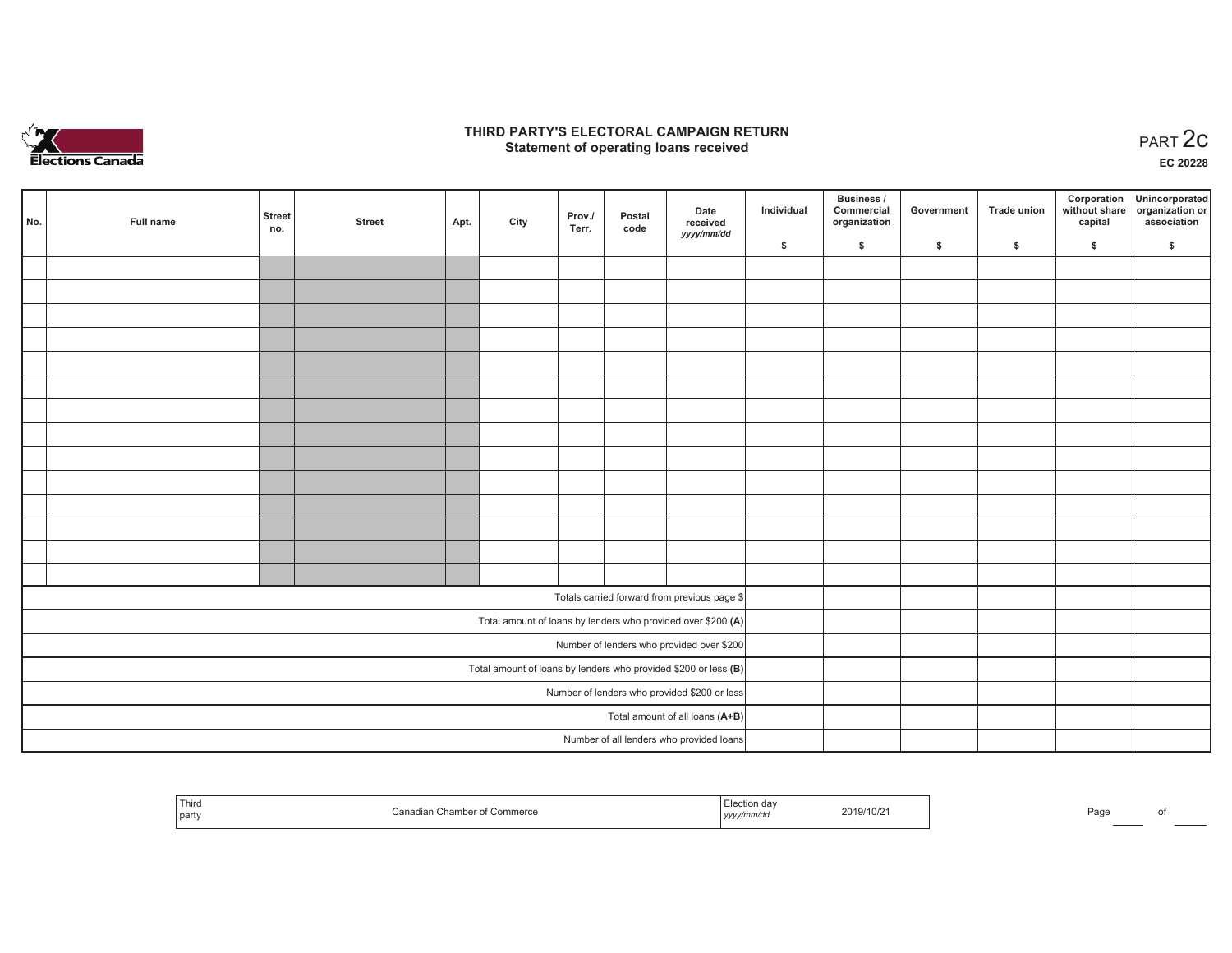

## **THIRD PARTY'S ELECTORAL CAMPAIGN RETURN STATE:** PERSON SELECTORAL CAMPAIGN RETURN<br>
Statement of operating loans received

**EC 20228**

| No. | Full name | <b>Street</b><br>no. | <b>Street</b> | Apt. | City | Prov./<br>Terr. | Postal<br>code | Date<br>received                                                  | Individual | Business /<br>Commercial<br>organization | Government | Trade union | Corporation<br>capital | Unincorporated<br>without share organization or<br>association |
|-----|-----------|----------------------|---------------|------|------|-----------------|----------------|-------------------------------------------------------------------|------------|------------------------------------------|------------|-------------|------------------------|----------------------------------------------------------------|
|     |           |                      |               |      |      |                 |                | yyyy/mm/dd                                                        | \$         | \$                                       | \$         | \$          | \$                     | \$                                                             |
|     |           |                      |               |      |      |                 |                |                                                                   |            |                                          |            |             |                        |                                                                |
|     |           |                      |               |      |      |                 |                |                                                                   |            |                                          |            |             |                        |                                                                |
|     |           |                      |               |      |      |                 |                |                                                                   |            |                                          |            |             |                        |                                                                |
|     |           |                      |               |      |      |                 |                |                                                                   |            |                                          |            |             |                        |                                                                |
|     |           |                      |               |      |      |                 |                |                                                                   |            |                                          |            |             |                        |                                                                |
|     |           |                      |               |      |      |                 |                |                                                                   |            |                                          |            |             |                        |                                                                |
|     |           |                      |               |      |      |                 |                |                                                                   |            |                                          |            |             |                        |                                                                |
|     |           |                      |               |      |      |                 |                |                                                                   |            |                                          |            |             |                        |                                                                |
|     |           |                      |               |      |      |                 |                |                                                                   |            |                                          |            |             |                        |                                                                |
|     |           |                      |               |      |      |                 |                |                                                                   |            |                                          |            |             |                        |                                                                |
|     |           |                      |               |      |      |                 |                |                                                                   |            |                                          |            |             |                        |                                                                |
|     |           |                      |               |      |      |                 |                |                                                                   |            |                                          |            |             |                        |                                                                |
|     |           |                      |               |      |      |                 |                |                                                                   |            |                                          |            |             |                        |                                                                |
|     |           |                      |               |      |      |                 |                |                                                                   |            |                                          |            |             |                        |                                                                |
|     |           |                      |               |      |      |                 |                | Totals carried forward from previous page \$                      |            |                                          |            |             |                        |                                                                |
|     |           |                      |               |      |      |                 |                | Total amount of loans by lenders who provided over \$200 (A)      |            |                                          |            |             |                        |                                                                |
|     |           |                      |               |      |      |                 |                | Number of lenders who provided over \$200                         |            |                                          |            |             |                        |                                                                |
|     |           |                      |               |      |      |                 |                | Total amount of loans by lenders who provided \$200 or less $(B)$ |            |                                          |            |             |                        |                                                                |
|     |           |                      |               |      |      |                 |                | Number of lenders who provided \$200 or less                      |            |                                          |            |             |                        |                                                                |
|     |           |                      |               |      |      |                 |                | Total amount of all loans (A+B)                                   |            |                                          |            |             |                        |                                                                |
|     |           |                      |               |      |      |                 |                | Number of all lenders who provided loans                          |            |                                          |            |             |                        |                                                                |

| Third<br>party | `--<br>. Commerce<br>,,,,,,,<br>. | , yyyymmuu | 0.10118<br>2019/10/2 | Daou<br>-dut |  |
|----------------|-----------------------------------|------------|----------------------|--------------|--|
|                |                                   |            |                      |              |  |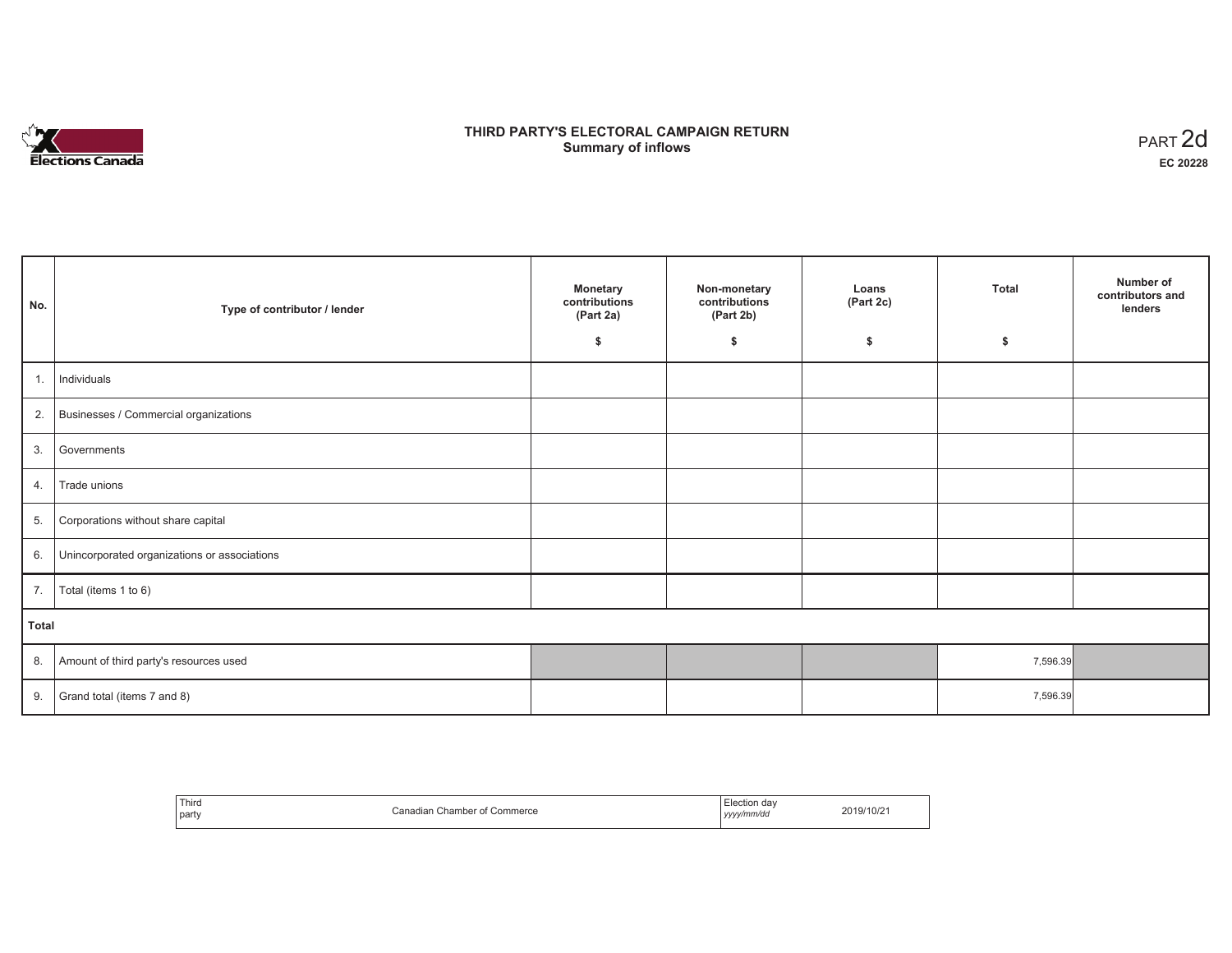

# **THIRD PARTY'S ELECTORAL CAMPAIGN RETURN S** ELECTORAL CAMPAIGN RETURN<br>Summary of inflows PART 2d

| No.   | Type of contributor / lender                 | <b>Monetary</b><br>contributions<br>(Part 2a) | Non-monetary<br>contributions<br>(Part 2b) | Loans<br>(Part 2c) | <b>Total</b> | Number of<br>contributors and<br>lenders |
|-------|----------------------------------------------|-----------------------------------------------|--------------------------------------------|--------------------|--------------|------------------------------------------|
|       |                                              | \$                                            | \$                                         | \$                 | \$           |                                          |
| 1.    | Individuals                                  |                                               |                                            |                    |              |                                          |
|       | 2. Businesses / Commercial organizations     |                                               |                                            |                    |              |                                          |
| 3.    | Governments                                  |                                               |                                            |                    |              |                                          |
| 4.    | Trade unions                                 |                                               |                                            |                    |              |                                          |
| 5.    | Corporations without share capital           |                                               |                                            |                    |              |                                          |
| 6.    | Unincorporated organizations or associations |                                               |                                            |                    |              |                                          |
| 7.    | Total (items 1 to 6)                         |                                               |                                            |                    |              |                                          |
| Total |                                              |                                               |                                            |                    |              |                                          |
| 8.    | Amount of third party's resources used       |                                               |                                            |                    | 7,596.39     |                                          |
| 9.    | Grand total (items 7 and 8)                  |                                               |                                            |                    | 7,596.39     |                                          |

| Third<br>party | า Chamber of Commerce<br>⊍ Canadian | ⊟lection dav<br>.<br>' yyyy/mm/dd<br>,,,, | 2019/10/21 |
|----------------|-------------------------------------|-------------------------------------------|------------|
|----------------|-------------------------------------|-------------------------------------------|------------|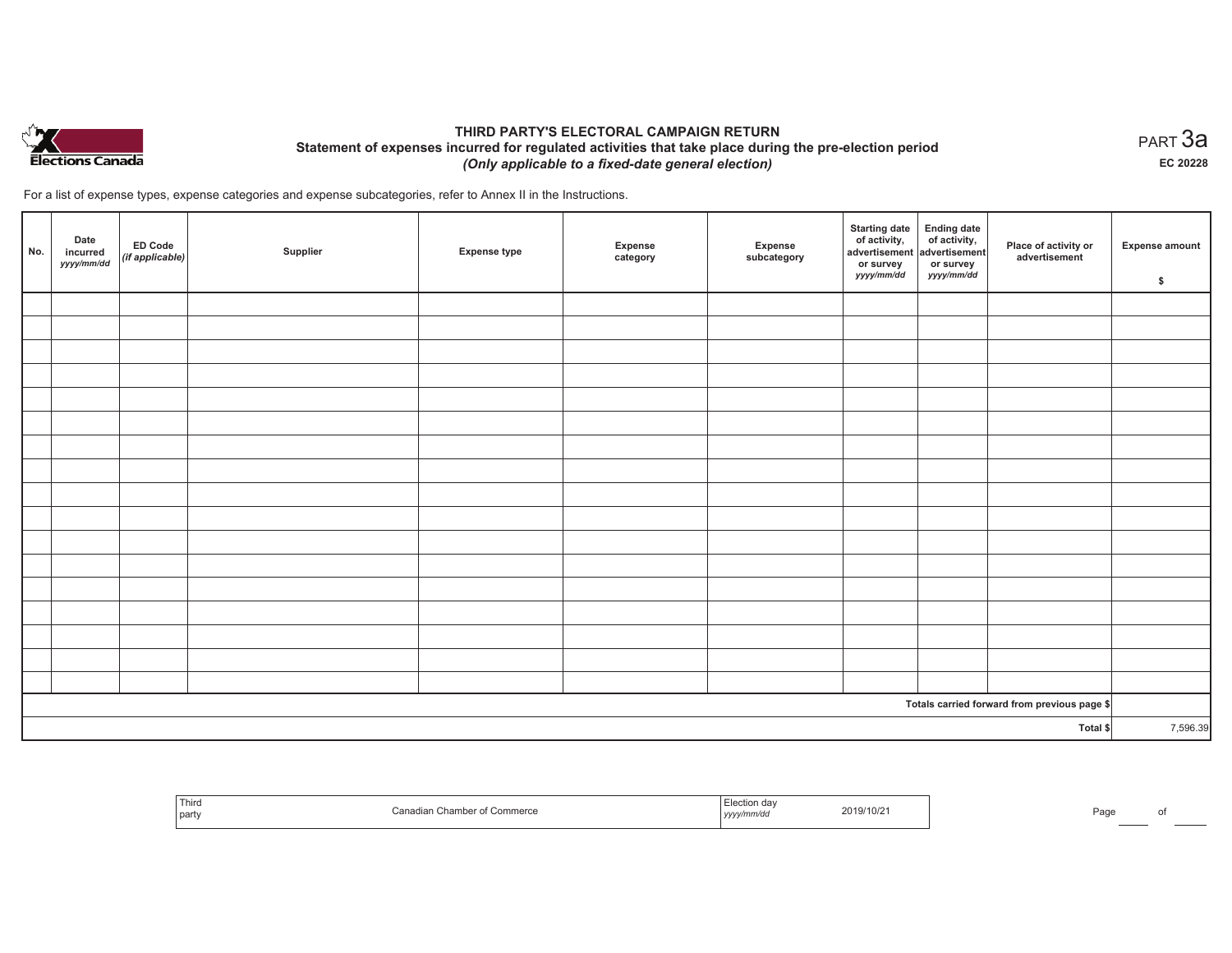

## **THIRD PARTY'S ELECTORAL CAMPAIGN RETURN Statement of expenses incurred for regulated activities that take place during the pre-election period**  *(Only applicable to a fixed-date general election)*

For a list of expense types, expense categories and expense subcategories, refer to Annex II in the Instructions.

| No.      | Date<br>incurred<br>yyyy/mm/dd | $E$ D Code<br>(if applicable) | Supplier | <b>Expense type</b> | Expense<br>category | Expense<br>subcategory | <b>Starting date</b><br>of activity,<br>advertisement<br>or survey<br>yyyy/mm/dd | Ending date<br>of activity,<br>advertisement<br>or survey<br>yyyy/mm/dd | Place of activity or<br>advertisement        | <b>Expense amount</b><br>\$ |
|----------|--------------------------------|-------------------------------|----------|---------------------|---------------------|------------------------|----------------------------------------------------------------------------------|-------------------------------------------------------------------------|----------------------------------------------|-----------------------------|
|          |                                |                               |          |                     |                     |                        |                                                                                  |                                                                         |                                              |                             |
|          |                                |                               |          |                     |                     |                        |                                                                                  |                                                                         |                                              |                             |
|          |                                |                               |          |                     |                     |                        |                                                                                  |                                                                         |                                              |                             |
|          |                                |                               |          |                     |                     |                        |                                                                                  |                                                                         |                                              |                             |
|          |                                |                               |          |                     |                     |                        |                                                                                  |                                                                         |                                              |                             |
|          |                                |                               |          |                     |                     |                        |                                                                                  |                                                                         |                                              |                             |
|          |                                |                               |          |                     |                     |                        |                                                                                  |                                                                         |                                              |                             |
|          |                                |                               |          |                     |                     |                        |                                                                                  |                                                                         |                                              |                             |
|          |                                |                               |          |                     |                     |                        |                                                                                  |                                                                         |                                              |                             |
|          |                                |                               |          |                     |                     |                        |                                                                                  |                                                                         |                                              |                             |
|          |                                |                               |          |                     |                     |                        |                                                                                  |                                                                         |                                              |                             |
|          |                                |                               |          |                     |                     |                        |                                                                                  |                                                                         |                                              |                             |
|          |                                |                               |          |                     |                     |                        |                                                                                  |                                                                         |                                              |                             |
|          |                                |                               |          |                     |                     |                        |                                                                                  |                                                                         |                                              |                             |
|          |                                |                               |          |                     |                     |                        |                                                                                  |                                                                         |                                              |                             |
|          |                                |                               |          |                     |                     |                        |                                                                                  |                                                                         |                                              |                             |
|          |                                |                               |          |                     |                     |                        |                                                                                  |                                                                         |                                              |                             |
|          |                                |                               |          |                     |                     |                        |                                                                                  |                                                                         | Totals carried forward from previous page \$ |                             |
| Total \$ |                                |                               |          |                     |                     |                        | 7,596.39                                                                         |                                                                         |                                              |                             |

| Third<br>Canadian Chamber of Commerce<br>  party | lection dav<br>2019/10/21<br>yyyy/mm/dd | Page |
|--------------------------------------------------|-----------------------------------------|------|
|--------------------------------------------------|-----------------------------------------|------|

 $_{\sf PART}$ 3a **EC 20228**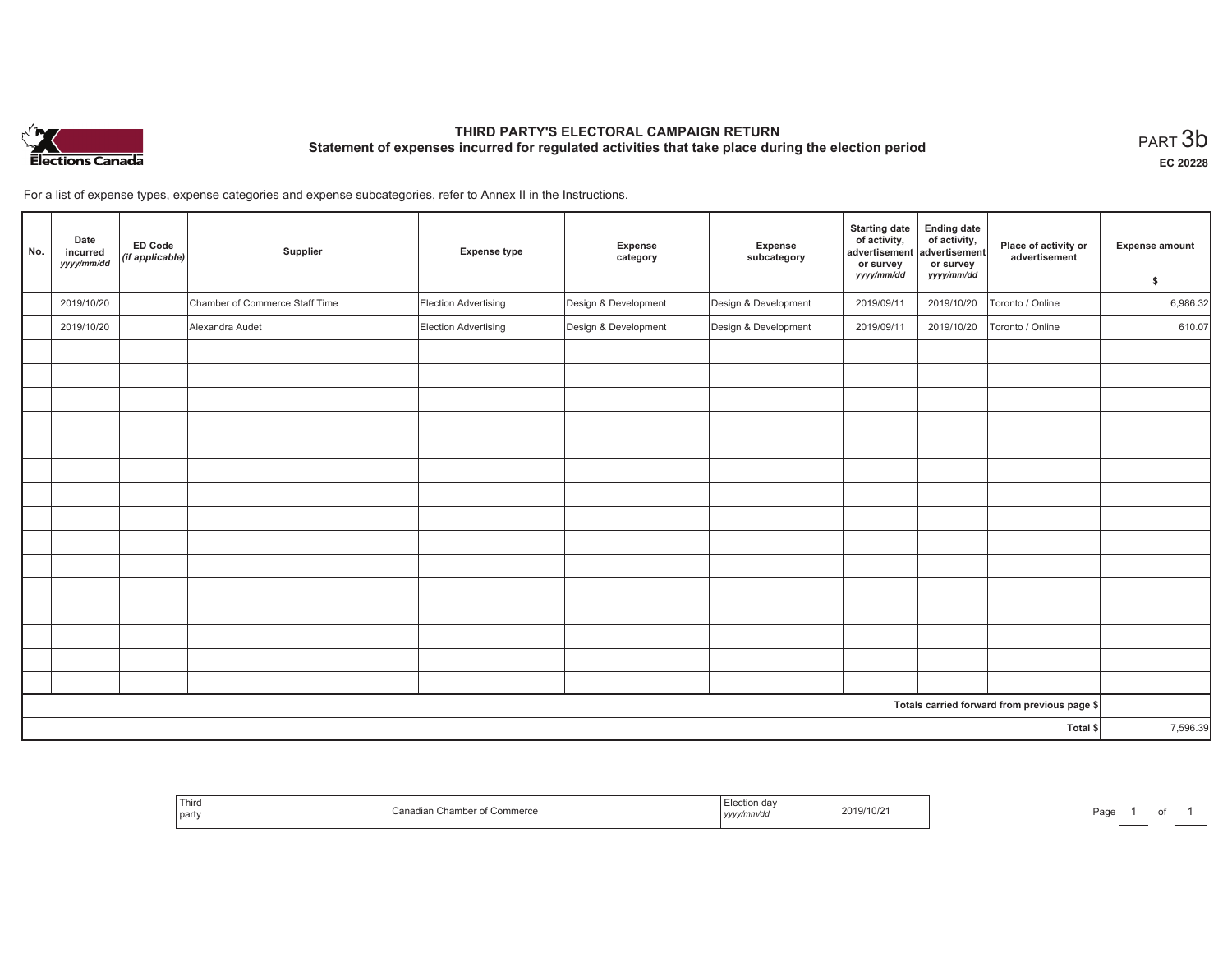

# **THIRD PARTY'S ELECTORAL CAMPAIGN RETURN Statement of expenses incurred for regulated activities that take place during the election period**<br>PART  $3b$

**EC 20228**

of 1

For a list of expense types, expense categories and expense subcategories, refer to Annex II in the Instructions.

| No.      | Date<br>incurred<br>yyyy/mm/dd | <b>ED Code</b><br>(if applicable) | Supplier                       | <b>Expense type</b>  | Expense<br>category  | Expense<br>subcategory | <b>Starting date</b><br>of activity,<br>advertisement<br>or survey<br>yyyy/mm/dd | <b>Ending date</b><br>of activity,<br>advertisement<br>or survey<br>yyyy/mm/dd | Place of activity or<br>advertisement        | <b>Expense amount</b><br>\$ |
|----------|--------------------------------|-----------------------------------|--------------------------------|----------------------|----------------------|------------------------|----------------------------------------------------------------------------------|--------------------------------------------------------------------------------|----------------------------------------------|-----------------------------|
|          | 2019/10/20                     |                                   | Chamber of Commerce Staff Time | Election Advertising | Design & Development | Design & Development   | 2019/09/11                                                                       | 2019/10/20                                                                     | Toronto / Online                             | 6,986.32                    |
|          | 2019/10/20                     |                                   | Alexandra Audet                | Election Advertising | Design & Development | Design & Development   | 2019/09/11                                                                       | 2019/10/20                                                                     | Toronto / Online                             | 610.07                      |
|          |                                |                                   |                                |                      |                      |                        |                                                                                  |                                                                                |                                              |                             |
|          |                                |                                   |                                |                      |                      |                        |                                                                                  |                                                                                |                                              |                             |
|          |                                |                                   |                                |                      |                      |                        |                                                                                  |                                                                                |                                              |                             |
|          |                                |                                   |                                |                      |                      |                        |                                                                                  |                                                                                |                                              |                             |
|          |                                |                                   |                                |                      |                      |                        |                                                                                  |                                                                                |                                              |                             |
|          |                                |                                   |                                |                      |                      |                        |                                                                                  |                                                                                |                                              |                             |
|          |                                |                                   |                                |                      |                      |                        |                                                                                  |                                                                                |                                              |                             |
|          |                                |                                   |                                |                      |                      |                        |                                                                                  |                                                                                |                                              |                             |
|          |                                |                                   |                                |                      |                      |                        |                                                                                  |                                                                                |                                              |                             |
|          |                                |                                   |                                |                      |                      |                        |                                                                                  |                                                                                |                                              |                             |
|          |                                |                                   |                                |                      |                      |                        |                                                                                  |                                                                                |                                              |                             |
|          |                                |                                   |                                |                      |                      |                        |                                                                                  |                                                                                |                                              |                             |
|          |                                |                                   |                                |                      |                      |                        |                                                                                  |                                                                                |                                              |                             |
|          |                                |                                   |                                |                      |                      |                        |                                                                                  |                                                                                |                                              |                             |
|          |                                |                                   |                                |                      |                      |                        |                                                                                  |                                                                                |                                              |                             |
|          |                                |                                   |                                |                      |                      |                        |                                                                                  |                                                                                | Totals carried forward from previous page \$ |                             |
| Total \$ |                                |                                   |                                |                      |                      |                        | 7,596.39                                                                         |                                                                                |                                              |                             |

| Third<br>  part | Commerce<br>ਾ Chambe.<br>∴anadian | Jection day<br>t ud:<br>บแบบ<br>nm/ac<br>, , , , , , , , , | 2019/10/21 | Page |
|-----------------|-----------------------------------|------------------------------------------------------------|------------|------|
|-----------------|-----------------------------------|------------------------------------------------------------|------------|------|